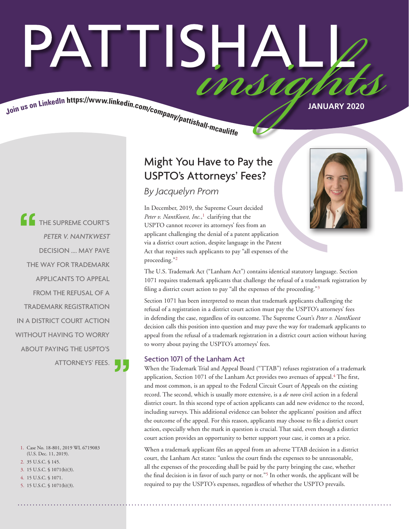# PATTISHAI Join us on LinkedIn https://www.linkedin.com/company/pattishall-mcaulty Manuary 2020

THE SUPREME COURT'S PETER V. NANTKWEST DECISION .... MAY PAVE THE WAY FOR TRADEMARK APPLICANTS TO APPEAL FROM THE REFUSAL OF A TRADEMARK REGISTRATION IN A DISTRICT COURT ACTION WITHOUT HAVING TO WORRY ABOUT PAYING THE USPTO'S ATTORNEYS' FEES.

1. Case No. 18-801, 2019 WL 6719083 (U.S. Dec. 11, 2019).

- 2. 35 U.S.C. § 145. 3. 15 U.S.C. § 1071(b)(3).
- 4. 15 U.S.C. § 1071.
- 5. 15 U.S.C. § 1071(b)(3).

### Might You Have to Pay the USPTO's Attorneys' Fees?

*By Jacquelyn Prom* 

In December, 2019, the Supreme Court decided Peter v. NantKwest, Inc.,<sup>1</sup> clarifying that the USPTO cannot recover its attorneys' fees from an applicant challenging the denial of a patent application via a district court action, despite language in the Patent Act that requires such applicants to pay "all expenses of the proceeding."2



The U.S. Trademark Act ("Lanham Act") contains identical statutory language. Section 1071 requires trademark applicants that challenge the refusal of a trademark registration by filing a district court action to pay "all the expenses of the proceeding."3

Section 1071 has been interpreted to mean that trademark applicants challenging the refusal of a registration in a district court action must pay the USPTO's attorneys' fees in defending the case, regardless of its outcome. The Supreme Court's *Peter v. NantKwest* decision calls this position into question and may pave the way for trademark applicants to appeal from the refusal of a trademark registration in a district court action without having to worry about paying the USPTO's attorneys' fees.

#### Section 1071 of the Lanham Act

When the Trademark Trial and Appeal Board ("TTAB") refuses registration of a trademark application, Section 1071 of the Lanham Act provides two avenues of appeal.<sup>4</sup> The first, and most common, is an appeal to the Federal Circuit Court of Appeals on the existing record. The second, which is usually more extensive, is a *de novo* civil action in a federal district court. In this second type of action applicants can add new evidence to the record, including surveys. This additional evidence can bolster the applicants' position and affect the outcome of the appeal. For this reason, applicants may choose to file a district court action, especially when the mark in question is crucial. That said, even though a district court action provides an opportunity to better support your case, it comes at a price.

When a trademark applicant files an appeal from an adverse TTAB decision in a district court, the Lanham Act states: "unless the court finds the expenses to be unreasonable, all the expenses of the proceeding shall be paid by the party bringing the case, whether the final decision is in favor of such party or not."5 In other words, the applicant will be required to pay the USPTO's expenses, regardless of whether the USPTO prevails.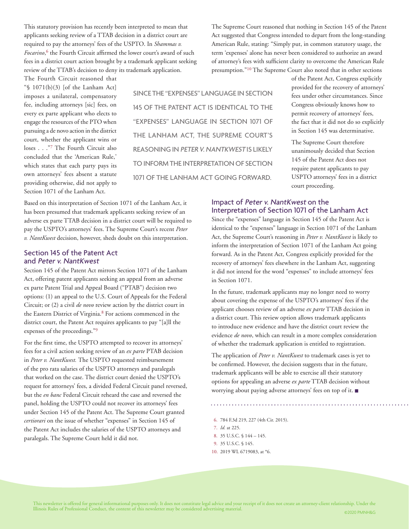This statutory provision has recently been interpreted to mean that applicants seeking review of a TTAB decision in a district court are required to pay the attorneys' fees of the USPTO. In *Shammas v.*  Focarino,<sup>6</sup> the Fourth Circuit affirmed the lower court's award of such fees in a district court action brought by a trademark applicant seeking review of the TTAB's decision to deny its trademark application.

The Fourth Circuit reasoned that " $\$  1071(b)(3) [of the Lanham Act] imposes a unilateral, compensatory fee, including attorneys [sic] fees, on every ex parte applicant who elects to engage the resources of the PTO when pursuing a de novo action in the district court, whether the applicant wins or loses . . . "7 The Fourth Circuit also concluded that the 'American Rule,' which states that each party pays its own attorneys' fees absent a statute providing otherwise, did not apply to Section 1071 of the Lanham Act.

SINCE THE "EXPENSES" LANGUAGE IN SECTION 145 OF THE PATENT ACT IS IDENTICAL TO THE "EXPENSES" LANGUAGE IN SECTION 1071 OF THE LANHAM ACT, THE SUPREME COURT'S REASONING IN PETER V. NANTKWEST IS LIKELY TO INFORM THE INTERPRETATION OF SECTION 1071 OF THE LANHAM ACT GOING FORWARD.

The Supreme Court reasoned that nothing in Section 145 of the Patent Act suggested that Congress intended to depart from the long-standing American Rule, stating: "Simply put, in common statutory usage, the term 'expenses' alone has never been considered to authorize an award of attorney's fees with sufficient clarity to overcome the American Rule presumption."10 The Supreme Court also noted that in other sections

of the Patent Act, Congress explicitly provided for the recovery of attorneys' fees under other circumstances. Since Congress obviously knows how to permit recovery of attorneys' fees, the fact that it did not do so explicitly in Section 145 was determinative.

The Supreme Court therefore unanimously decided that Section 145 of the Patent Act does not require patent applicants to pay USPTO attorneys' fees in a district court proceeding.

Based on this interpretation of Section 1071 of the Lanham Act, it has been presumed that trademark applicants seeking review of an adverse ex parte TTAB decision in a district court will be required to pay the USPTO's attorneys' fees. The Supreme Court's recent *Peter v. NantKwest* decision, however, sheds doubt on this interpretation.

#### Section 145 of the Patent Act and Peter v. NantKwest

Section 145 of the Patent Act mirrors Section 1071 of the Lanham Act, offering patent applicants seeking an appeal from an adverse ex parte Patent Trial and Appeal Board ("PTAB") decision two options: (1) an appeal to the U.S. Court of Appeals for the Federal Circuit; or (2) a civil *de novo* review action by the district court in the Eastern District of Virginia.<sup>8</sup> For actions commenced in the district court, the Patent Act requires applicants to pay "[a]ll the expenses of the proceedings."9

For the first time, the USPTO attempted to recover its attorneys' fees for a civil action seeking review of an *ex parte* PTAB decision in *Peter v. NantKwest.* The USPTO requested reimbursement of the pro rata salaries of the USPTO attorneys and paralegals that worked on the case. The district court denied the USPTO's request for attorneys' fees, a divided Federal Circuit panel reversed, but the *en banc* Federal Circuit reheard the case and reversed the panel, holding the USPTO could not recover its attorneys' fees under Section 145 of the Patent Act. The Supreme Court granted *certiorari* on the issue of whether "expenses" in Section 145 of the Patent Act includes the salaries of the USPTO attorneys and paralegals. The Supreme Court held it did not.

#### Impact of Peter v. NantKwest on the Interpretation of Section 1071 of the Lanham Act

Since the "expenses" language in Section 145 of the Patent Act is identical to the "expenses" language in Section 1071 of the Lanham Act, the Supreme Court's reasoning in *Peter v. NantKwest* is likely to inform the interpretation of Section 1071 of the Lanham Act going forward. As in the Patent Act, Congress explicitly provided for the recovery of attorneys' fees elsewhere in the Lanham Act, suggesting it did not intend for the word "expenses" to include attorneys' fees in Section 1071.

In the future, trademark applicants may no longer need to worry about covering the expense of the USPTO's attorneys' fees if the applicant chooses review of an adverse *ex parte* TTAB decision in a district court. This review option allows trademark applicants to introduce new evidence and have the district court review the evidence *de novo*, which can result in a more complex consideration of whether the trademark application is entitled to registration.

The application of *Peter v. NantKwest* to trademark cases is yet to be confirmed. However, the decision suggests that in the future, trademark applicants will be able to exercise all their statutory options for appealing an adverse *ex parte* TTAB decision without worrying about paying adverse attorneys' fees on top of it. ■

6. 784 F.3d 219, 227 (4th Cir. 2015).

- 7. *Id.* at 225.
- 8. 35 U.S.C. § 144 145.
- 9. 35 U.S.C. § 145.
- 10. 2019 WL 6719083, at \*6.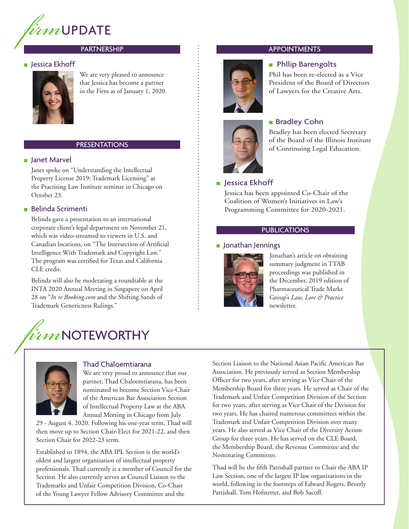

#### PARTNERSHIP

#### ■ Jessica Ekhoff



We are very pleased to announce that Jessica has become a partner in the Firm as of January 1, 2020.

#### PRESENTATIONS

#### ■ Janet Marvel

Janet spoke on "Understanding the Intellectual Property License 2019: Trademark Licensing" at the Practising Law Institute seminar in Chicago on October 23.

#### ■ Belinda Scrimenti

Belinda gave a presentation to an international corporate client's legal department on November 21, which was video-streamed to viewers in U.S. and Canadian locations, on "The Intersection of Artificial Intelligence With Trademark and Copyright Law." The program was certified for Texas and California CLE credit.

Belinda will also be moderating a roundtable at the INTA 2020 Annual Meeting in Singapore on April 28 on "*In re Booking.com* and the Shifting Sands of Trademark Genericness Rulings."

## *firm*NOTEWORTHY



#### Thad Chaloemtiarana

We are very proud to announce that our partner, Thad Chaloemtiarana, has been nominated to become Section Vice-Chair of the American Bar Association Section of Intellectual Property Law at the ABA Annual Meeting in Chicago from July

29 - August 4, 2020. Following his one-year term, Thad will then move up to Section Chair-Elect for 2021-22, and then Section Chair for 2022-23 term.

Established in 1894, the ABA IPL Section is the world's oldest and largest organization of intellectual property professionals. Thad currently is a member of Council for the Section. He also currently serves as Council Liaison to the Trademarks and Unfair Competition Division, Co-Chair of the Young Lawyer Fellow Advisory Committee and the

#### APPOINTMENTS

#### ■ Phllip Barengolts

Phil has been re-elected as a Vice President of the Board of Directors of Lawyers for the Creative Arts.



#### ■ Bradley Cohn

Bradley has been elected Secretary of the Board of the Illinois Institute of Continuing Legal Education.

#### ■ Jessica Ekhoff

Jessica has been appointed Co-Chair of the Coalition of Women's Initiatives in Law's Programming Committee for 2020-2021.

#### PUBLICATIONS

#### ■ Jonathan Jennings



Jonathan's article on obtaining summary judgment in TTAB proceedings was published in the December, 2019 edition of Pharmaceutical Trade Marks Group's *Law, Lore & Practice* newsletter.

Section Liaison to the National Asian Pacific American Bar Association. He previously served as Section Membership Officer for two years, after serving as Vice Chair of the Membership Board for three years. He served as Chair of the Trademark and Unfair Competition Division of the Section for two years, after serving as Vice Chair of the Division for two years. He has chaired numerous committees within the Trademark and Unfair Competition Division over many years. He also served as Vice Chair of the Diversity Action Group for three years. He has served on the CLE Board, the Membership Board, the Revenue Committee and the Nominating Committee.

Thad will be the fifth Pattishall partner to Chair the ABA IP Law Section, one of the largest IP law organizations in the world, following in the footsteps of Edward Rogers, Beverly Pattishall, Tom Hofstetter, and Bob Sacoff.